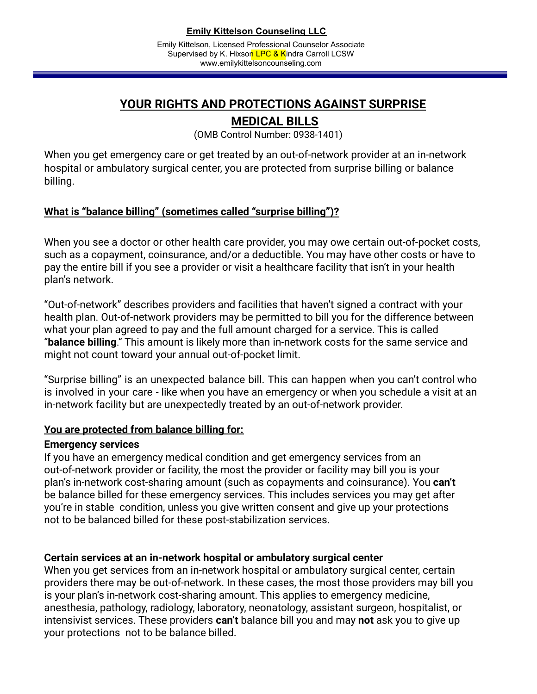# **YOUR RIGHTS AND PROTECTIONS AGAINST SURPRISE**

## **MEDICAL BILLS**

(OMB Control Number: 0938-1401)

When you get emergency care or get treated by an out-of-network provider at an in-network hospital or ambulatory surgical center, you are protected from surprise billing or balance billing.

## **What is "balance billing" (sometimes called "surprise billing")?**

When you see a doctor or other health care provider, you may owe certain out-of-pocket costs, such as a copayment, coinsurance, and/or a deductible. You may have other costs or have to pay the entire bill if you see a provider or visit a healthcare facility that isn't in your health plan's network.

"Out-of-network" describes providers and facilities that haven't signed a contract with your health plan. Out-of-network providers may be permitted to bill you for the difference between what your plan agreed to pay and the full amount charged for a service. This is called "**balance billing**." This amount is likely more than in-network costs for the same service and might not count toward your annual out-of-pocket limit.

"Surprise billing" is an unexpected balance bill. This can happen when you can't control who is involved in your care - like when you have an emergency or when you schedule a visit at an in-network facility but are unexpectedly treated by an out-of-network provider.

#### **You are protected from balance billing for:**

#### **Emergency services**

If you have an emergency medical condition and get emergency services from an out-of-network provider or facility, the most the provider or facility may bill you is your plan's in-network cost-sharing amount (such as copayments and coinsurance). You **can't** be balance billed for these emergency services. This includes services you may get after you're in stable condition, unless you give written consent and give up your protections not to be balanced billed for these post-stabilization services.

### **Certain services at an in-network hospital or ambulatory surgical center**

When you get services from an in-network hospital or ambulatory surgical center, certain providers there may be out-of-network. In these cases, the most those providers may bill you is your plan's in-network cost-sharing amount. This applies to emergency medicine, anesthesia, pathology, radiology, laboratory, neonatology, assistant surgeon, hospitalist, or intensivist services. These providers **can't** balance bill you and may **not** ask you to give up your protections not to be balance billed.